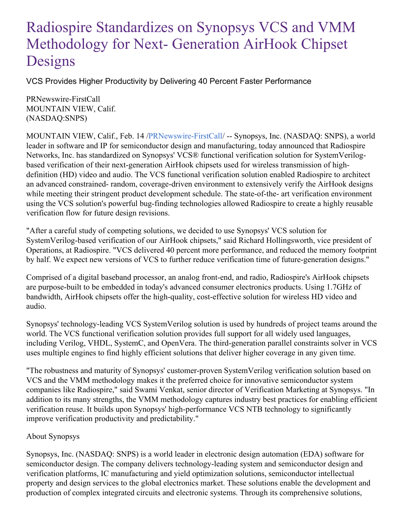## Radiospire Standardizes on Synopsys VCS and VMM Methodology for Next- Generation AirHook Chipset Designs

VCS Provides Higher Productivity by Delivering 40 Percent Faster Performance

PRNewswire-FirstCall MOUNTAIN VIEW, Calif. (NASDAQ:SNPS)

MOUNTAIN VIEW, Calif., Feb. 14 [/PRNewswire-FirstCall](http://www.prnewswire.com/)/ -- Synopsys, Inc. (NASDAQ: SNPS), a world leader in software and IP for semiconductor design and manufacturing, today announced that Radiospire Networks, Inc. has standardized on Synopsys' VCS® functional verification solution for SystemVerilogbased verification of their next-generation AirHook chipsets used for wireless transmission of highdefinition (HD) video and audio. The VCS functional verification solution enabled Radiospire to architect an advanced constrained- random, coverage-driven environment to extensively verify the AirHook designs while meeting their stringent product development schedule. The state-of-the- art verification environment using the VCS solution's powerful bug-finding technologies allowed Radiospire to create a highly reusable verification flow for future design revisions.

"After a careful study of competing solutions, we decided to use Synopsys' VCS solution for SystemVerilog-based verification of our AirHook chipsets," said Richard Hollingsworth, vice president of Operations, at Radiospire. "VCS delivered 40 percent more performance, and reduced the memory footprint by half. We expect new versions of VCS to further reduce verification time of future-generation designs."

Comprised of a digital baseband processor, an analog front-end, and radio, Radiospire's AirHook chipsets are purpose-built to be embedded in today's advanced consumer electronics products. Using 1.7GHz of bandwidth, AirHook chipsets offer the high-quality, cost-effective solution for wireless HD video and audio.

Synopsys' technology-leading VCS SystemVerilog solution is used by hundreds of project teams around the world. The VCS functional verification solution provides full support for all widely used languages, including Verilog, VHDL, SystemC, and OpenVera. The third-generation parallel constraints solver in VCS uses multiple engines to find highly efficient solutions that deliver higher coverage in any given time.

"The robustness and maturity of Synopsys' customer-proven SystemVerilog verification solution based on VCS and the VMM methodology makes it the preferred choice for innovative semiconductor system companies like Radiospire," said Swami Venkat, senior director of Verification Marketing at Synopsys. "In addition to its many strengths, the VMM methodology captures industry best practices for enabling efficient verification reuse. It builds upon Synopsys' high-performance VCS NTB technology to significantly improve verification productivity and predictability."

## About Synopsys

Synopsys, Inc. (NASDAQ: SNPS) is a world leader in electronic design automation (EDA) software for semiconductor design. The company delivers technology-leading system and semiconductor design and verification platforms, IC manufacturing and yield optimization solutions, semiconductor intellectual property and design services to the global electronics market. These solutions enable the development and production of complex integrated circuits and electronic systems. Through its comprehensive solutions,